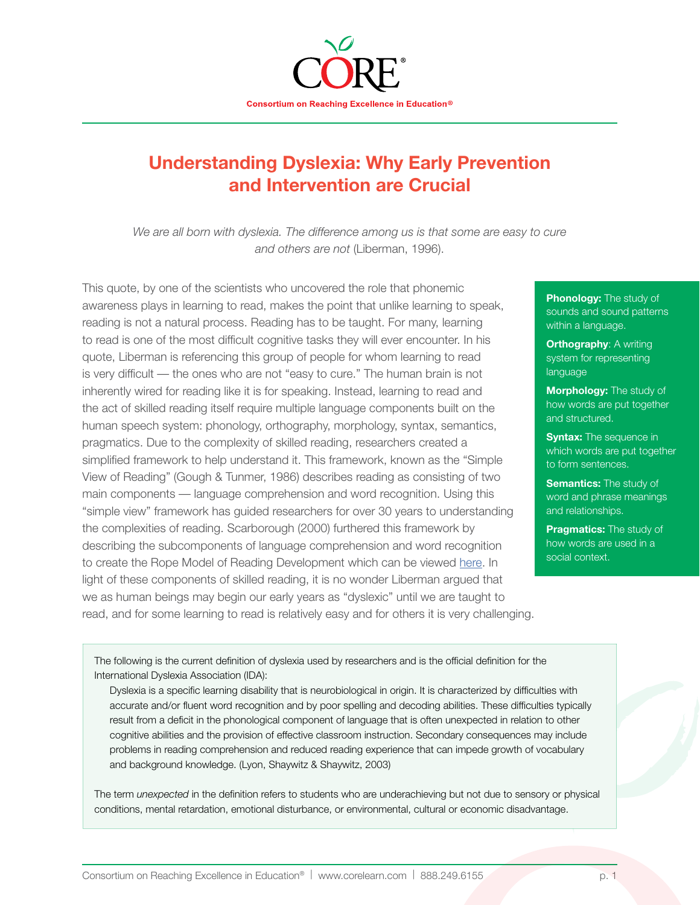

# **Understanding Dyslexia: Why Early Prevention and Intervention are Crucial**

We are all born with dyslexia. The difference among us is that some are easy to cure *and others are not* (Liberman, 1996).

This quote, by one of the scientists who uncovered the role that phonemic awareness plays in learning to read, makes the point that unlike learning to speak, reading is not a natural process. Reading has to be taught. For many, learning to read is one of the most difficult cognitive tasks they will ever encounter. In his quote, Liberman is referencing this group of people for whom learning to read is very difficult — the ones who are not "easy to cure." The human brain is not inherently wired for reading like it is for speaking. Instead, learning to read and the act of skilled reading itself require multiple language components built on the human speech system: phonology, orthography, morphology, syntax, semantics, pragmatics. Due to the complexity of skilled reading, researchers created a simplified framework to help understand it. This framework, known as the "Simple View of Reading" (Gough & Tunmer, 1986) describes reading as consisting of two main components — language comprehension and word recognition. Using this "simple view" framework has guided researchers for over 30 years to understanding the complexities of reading. Scarborough (2000) furthered this framework by describing the subcomponents of language comprehension and word recognition to create the Rope Model of Reading Development which can be viewed [here.](https://courses.lumenlearning.com/suny-hccc-childrenslit/chapter/the-simple-view-of-reading/) In light of these components of skilled reading, it is no wonder Liberman argued that we as human beings may begin our early years as "dyslexic" until we are taught to read, and for some learning to read is relatively easy and for others it is very challenging.

**Phonology:** The study of sounds and sound patterns within a language.

**Orthography: A writing** system for representing language

**Morphology:** The study of how words are put together and structured.

**Syntax:** The sequence in which words are put together to form sentences.

**Semantics:** The study of word and phrase meanings and relationships.

**Pragmatics:** The study of how words are used in a social context.

The following is the current definition of dyslexia used by researchers and is the official definition for the International Dyslexia Association (IDA):

Dyslexia is a specific learning disability that is neurobiological in origin. It is characterized by difficulties with accurate and/or fluent word recognition and by poor spelling and decoding abilities. These difficulties typically result from a deficit in the phonological component of language that is often unexpected in relation to other cognitive abilities and the provision of effective classroom instruction. Secondary consequences may include problems in reading comprehension and reduced reading experience that can impede growth of vocabulary and background knowledge. (Lyon, Shaywitz & Shaywitz, 2003)

The term *unexpected* in the definition refers to students who are underachieving but not due to sensory or physical conditions, mental retardation, emotional disturbance, or environmental, cultural or economic disadvantage.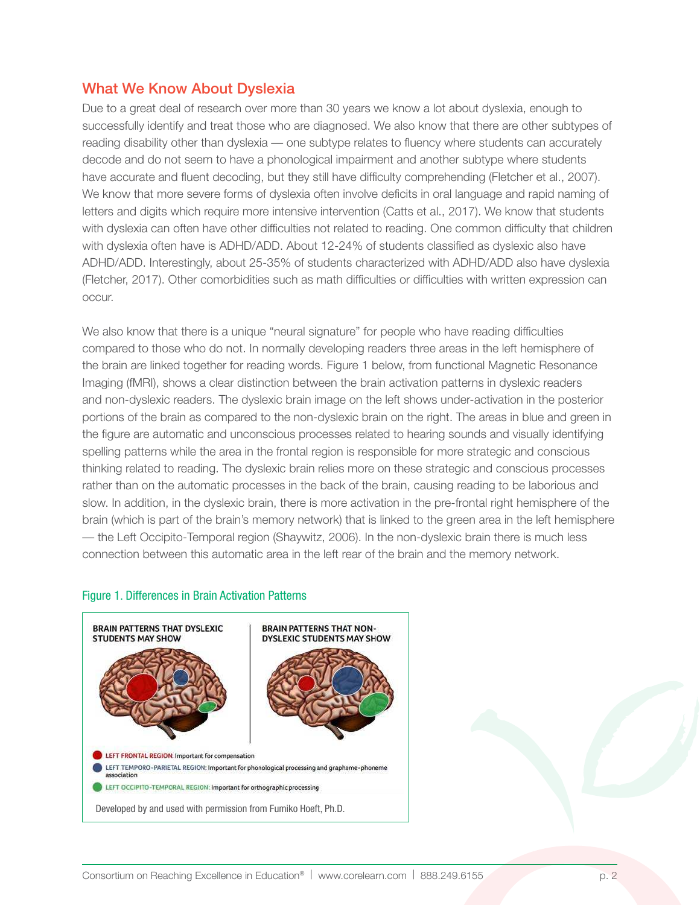### What We Know About Dyslexia

Due to a great deal of research over more than 30 years we know a lot about dyslexia, enough to successfully identify and treat those who are diagnosed. We also know that there are other subtypes of reading disability other than dyslexia — one subtype relates to fluency where students can accurately decode and do not seem to have a phonological impairment and another subtype where students have accurate and fluent decoding, but they still have difficulty comprehending (Fletcher et al., 2007). We know that more severe forms of dyslexia often involve deficits in oral language and rapid naming of letters and digits which require more intensive intervention (Catts et al., 2017). We know that students with dyslexia can often have other difficulties not related to reading. One common difficulty that children with dyslexia often have is ADHD/ADD. About 12-24% of students classified as dyslexic also have ADHD/ADD. Interestingly, about 25-35% of students characterized with ADHD/ADD also have dyslexia (Fletcher, 2017). Other comorbidities such as math difficulties or difficulties with written expression can occur.

We also know that there is a unique "neural signature" for people who have reading difficulties compared to those who do not. In normally developing readers three areas in the left hemisphere of the brain are linked together for reading words. Figure 1 below, from functional Magnetic Resonance Imaging (fMRI), shows a clear distinction between the brain activation patterns in dyslexic readers and non-dyslexic readers. The dyslexic brain image on the left shows under-activation in the posterior portions of the brain as compared to the non-dyslexic brain on the right. The areas in blue and green in the figure are automatic and unconscious processes related to hearing sounds and visually identifying spelling patterns while the area in the frontal region is responsible for more strategic and conscious thinking related to reading. The dyslexic brain relies more on these strategic and conscious processes rather than on the automatic processes in the back of the brain, causing reading to be laborious and slow. In addition, in the dyslexic brain, there is more activation in the pre-frontal right hemisphere of the brain (which is part of the brain's memory network) that is linked to the green area in the left hemisphere — the Left Occipito-Temporal region (Shaywitz, 2006). In the non-dyslexic brain there is much less connection between this automatic area in the left rear of the brain and the memory network.



#### Figure 1. Differences in Brain Activation Patterns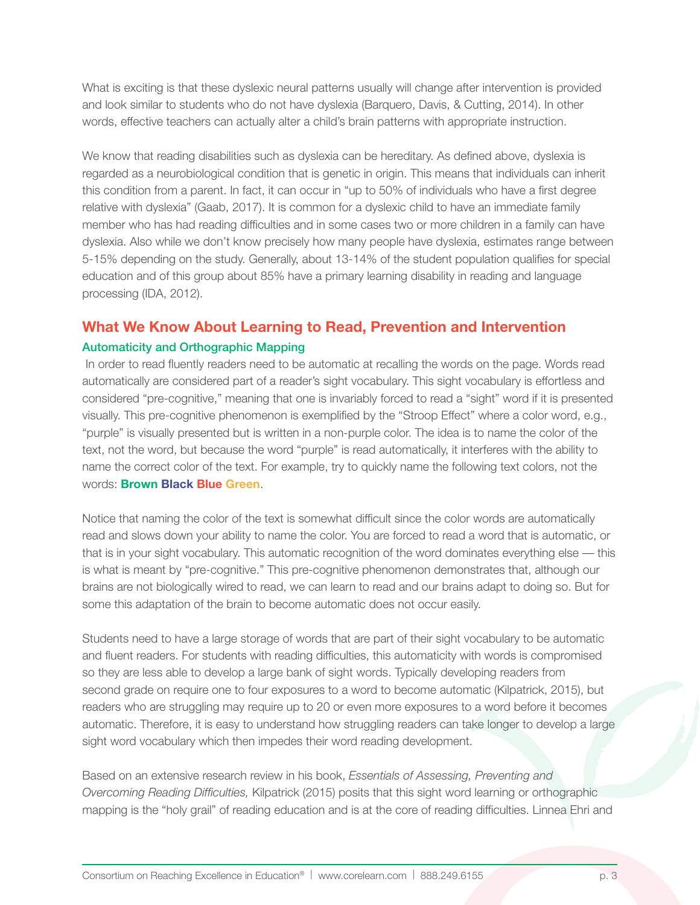What is exciting is that these dyslexic neural patterns usually will change after intervention is provided and look similar to students who do not have dyslexia (Barquero, Davis, & Cutting, 2014). In other words, effective teachers can actually alter a child's brain patterns with appropriate instruction.

We know that reading disabilities such as dyslexia can be hereditary. As defined above, dyslexia is regarded as a neurobiological condition that is genetic in origin. This means that individuals can inherit this condition from a parent. In fact, it can occur in "up to 50% of individuals who have a first degree relative with dyslexia" (Gaab, 2017). It is common for a dyslexic child to have an immediate family member who has had reading difficulties and in some cases two or more children in a family can have dyslexia. Also while we don't know precisely how many people have dyslexia, estimates range between 5-15% depending on the study. Generally, about 13-14% of the student population qualifies for special education and of this group about 85% have a primary learning disability in reading and language processing (IDA, 2012).

## **What We Know About Learning to Read, Prevention and Intervention** Automaticity and Orthographic Mapping

 In order to read fluently readers need to be automatic at recalling the words on the page. Words read automatically are considered part of a reader's sight vocabulary. This sight vocabulary is effortless and considered "pre-cognitive," meaning that one is invariably forced to read a "sight" word if it is presented visually. This pre-cognitive phenomenon is exemplified by the "Stroop Effect" where a color word, e.g., "purple" is visually presented but is written in a non-purple color. The idea is to name the color of the text, not the word, but because the word "purple" is read automatically, it interferes with the ability to name the correct color of the text. For example, try to quickly name the following text colors, not the words: **Brown Black Blue Green**.

Notice that naming the color of the text is somewhat difficult since the color words are automatically read and slows down your ability to name the color. You are forced to read a word that is automatic, or that is in your sight vocabulary. This automatic recognition of the word dominates everything else — this is what is meant by "pre-cognitive." This pre-cognitive phenomenon demonstrates that, although our brains are not biologically wired to read, we can learn to read and our brains adapt to doing so. But for some this adaptation of the brain to become automatic does not occur easily.

Students need to have a large storage of words that are part of their sight vocabulary to be automatic and fluent readers. For students with reading difficulties, this automaticity with words is compromised so they are less able to develop a large bank of sight words. Typically developing readers from second grade on require one to four exposures to a word to become automatic (Kilpatrick, 2015), but readers who are struggling may require up to 20 or even more exposures to a word before it becomes automatic. Therefore, it is easy to understand how struggling readers can take longer to develop a large sight word vocabulary which then impedes their word reading development.

Based on an extensive research review in his book, *Essentials of Assessing, Preventing and Overcoming Reading Difficulties,* Kilpatrick (2015) posits that this sight word learning or orthographic mapping is the "holy grail" of reading education and is at the core of reading difficulties. Linnea Ehri and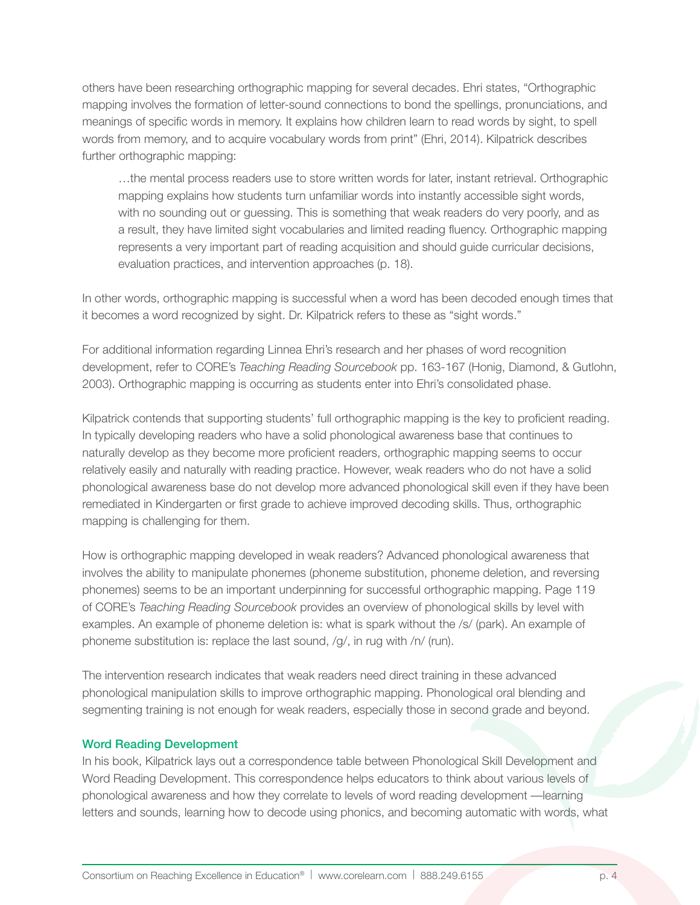others have been researching orthographic mapping for several decades. Ehri states, "Orthographic mapping involves the formation of letter-sound connections to bond the spellings, pronunciations, and meanings of specific words in memory. It explains how children learn to read words by sight, to spell words from memory, and to acquire vocabulary words from print" (Ehri, 2014). Kilpatrick describes further orthographic mapping:

…the mental process readers use to store written words for later, instant retrieval. Orthographic mapping explains how students turn unfamiliar words into instantly accessible sight words, with no sounding out or guessing. This is something that weak readers do very poorly, and as a result, they have limited sight vocabularies and limited reading fluency. Orthographic mapping represents a very important part of reading acquisition and should guide curricular decisions, evaluation practices, and intervention approaches (p. 18).

In other words, orthographic mapping is successful when a word has been decoded enough times that it becomes a word recognized by sight. Dr. Kilpatrick refers to these as "sight words."

For additional information regarding Linnea Ehri's research and her phases of word recognition development, refer to CORE's *Teaching Reading Sourcebook* pp. 163-167 (Honig, Diamond, & Gutlohn, 2003). Orthographic mapping is occurring as students enter into Ehri's consolidated phase.

Kilpatrick contends that supporting students' full orthographic mapping is the key to proficient reading. In typically developing readers who have a solid phonological awareness base that continues to naturally develop as they become more proficient readers, orthographic mapping seems to occur relatively easily and naturally with reading practice. However, weak readers who do not have a solid phonological awareness base do not develop more advanced phonological skill even if they have been remediated in Kindergarten or first grade to achieve improved decoding skills. Thus, orthographic mapping is challenging for them.

How is orthographic mapping developed in weak readers? Advanced phonological awareness that involves the ability to manipulate phonemes (phoneme substitution, phoneme deletion, and reversing phonemes) seems to be an important underpinning for successful orthographic mapping. Page 119 of CORE's *Teaching Reading Sourcebook* provides an overview of phonological skills by level with examples. An example of phoneme deletion is: what is spark without the /s/ (park). An example of phoneme substitution is: replace the last sound, /g/, in rug with /n/ (run).

The intervention research indicates that weak readers need direct training in these advanced phonological manipulation skills to improve orthographic mapping. Phonological oral blending and segmenting training is not enough for weak readers, especially those in second grade and beyond.

#### Word Reading Development

In his book, Kilpatrick lays out a correspondence table between Phonological Skill Development and Word Reading Development. This correspondence helps educators to think about various levels of phonological awareness and how they correlate to levels of word reading development —learning letters and sounds, learning how to decode using phonics, and becoming automatic with words, what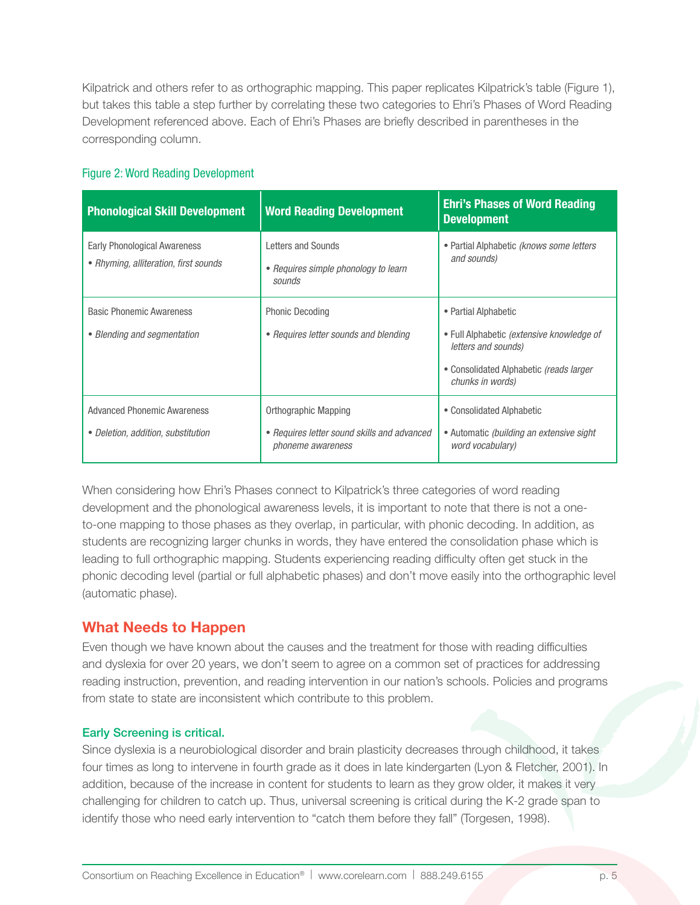Kilpatrick and others refer to as orthographic mapping. This paper replicates Kilpatrick's table (Figure 1), but takes this table a step further by correlating these two categories to Ehri's Phases of Word Reading Development referenced above. Each of Ehri's Phases are briefly described in parentheses in the corresponding column.

| <b>Phonological Skill Development</b>                                        | <b>Word Reading Development</b>                                                                        | <b>Ehri's Phases of Word Reading</b><br><b>Development</b>                                                                                                     |
|------------------------------------------------------------------------------|--------------------------------------------------------------------------------------------------------|----------------------------------------------------------------------------------------------------------------------------------------------------------------|
| <b>Early Phonological Awareness</b><br>• Rhyming, alliteration, first sounds | Letters and Sounds<br>• Requires simple phonology to learn<br>sounds                                   | • Partial Alphabetic (knows some letters<br>and sounds)                                                                                                        |
| <b>Basic Phonemic Awareness</b><br>• Blending and segmentation               | <b>Phonic Decoding</b><br>• Requires letter sounds and blending                                        | • Partial Alphabetic<br>• Full Alphabetic <i>(extensive knowledge of</i><br>letters and sounds)<br>• Consolidated Alphabetic (reads larger<br>chunks in words) |
| <b>Advanced Phonemic Awareness</b><br>• Deletion, addition, substitution     | <b>Orthographic Mapping</b><br>• Requires letter sound skills and advanced<br><i>phoneme awareness</i> | • Consolidated Alphabetic<br>• Automatic (building an extensive sight<br>word vocabulary)                                                                      |

#### Figure 2: Word Reading Development

When considering how Ehri's Phases connect to Kilpatrick's three categories of word reading development and the phonological awareness levels, it is important to note that there is not a oneto-one mapping to those phases as they overlap, in particular, with phonic decoding. In addition, as students are recognizing larger chunks in words, they have entered the consolidation phase which is leading to full orthographic mapping. Students experiencing reading difficulty often get stuck in the phonic decoding level (partial or full alphabetic phases) and don't move easily into the orthographic level (automatic phase).

### **What Needs to Happen**

Even though we have known about the causes and the treatment for those with reading difficulties and dyslexia for over 20 years, we don't seem to agree on a common set of practices for addressing reading instruction, prevention, and reading intervention in our nation's schools. Policies and programs from state to state are inconsistent which contribute to this problem.

#### Early Screening is critical.

Since dyslexia is a neurobiological disorder and brain plasticity decreases through childhood, it takes four times as long to intervene in fourth grade as it does in late kindergarten (Lyon & Fletcher, 2001). In addition, because of the increase in content for students to learn as they grow older, it makes it very challenging for children to catch up. Thus, universal screening is critical during the K-2 grade span to identify those who need early intervention to "catch them before they fall" (Torgesen, 1998).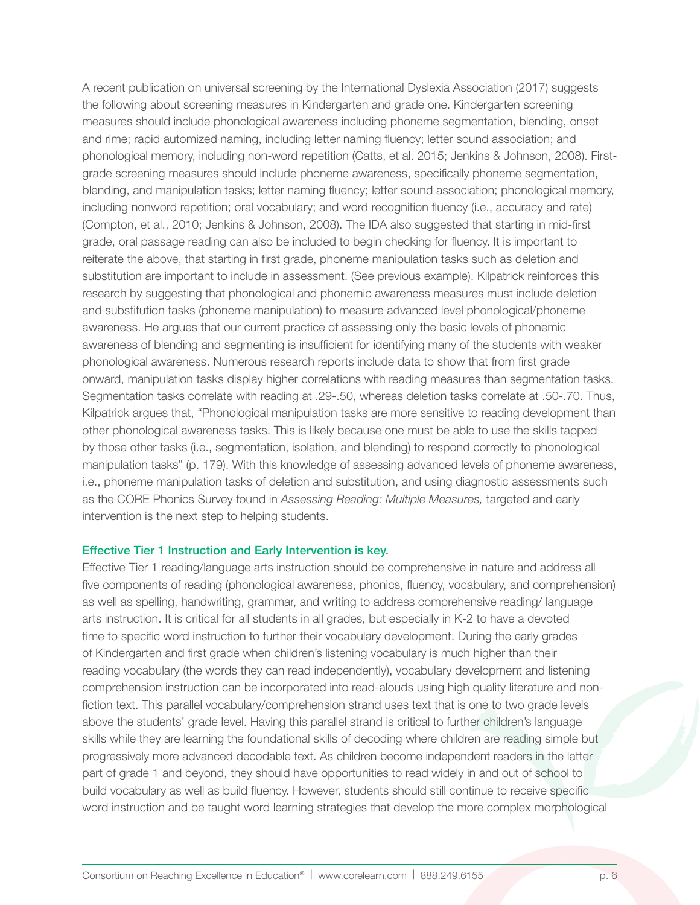A recent publication on universal screening by the International Dyslexia Association (2017) suggests the following about screening measures in Kindergarten and grade one. Kindergarten screening measures should include phonological awareness including phoneme segmentation, blending, onset and rime; rapid automized naming, including letter naming fluency; letter sound association; and phonological memory, including non-word repetition (Catts, et al. 2015; Jenkins & Johnson, 2008). Firstgrade screening measures should include phoneme awareness, specifically phoneme segmentation, blending, and manipulation tasks; letter naming fluency; letter sound association; phonological memory, including nonword repetition; oral vocabulary; and word recognition fluency (i.e., accuracy and rate) (Compton, et al., 2010; Jenkins & Johnson, 2008). The IDA also suggested that starting in mid-first grade, oral passage reading can also be included to begin checking for fluency. It is important to reiterate the above, that starting in first grade, phoneme manipulation tasks such as deletion and substitution are important to include in assessment. (See previous example). Kilpatrick reinforces this research by suggesting that phonological and phonemic awareness measures must include deletion and substitution tasks (phoneme manipulation) to measure advanced level phonological/phoneme awareness. He argues that our current practice of assessing only the basic levels of phonemic awareness of blending and segmenting is insufficient for identifying many of the students with weaker phonological awareness. Numerous research reports include data to show that from first grade onward, manipulation tasks display higher correlations with reading measures than segmentation tasks. Segmentation tasks correlate with reading at .29-.50, whereas deletion tasks correlate at .50-.70. Thus, Kilpatrick argues that, "Phonological manipulation tasks are more sensitive to reading development than other phonological awareness tasks. This is likely because one must be able to use the skills tapped by those other tasks (i.e., segmentation, isolation, and blending) to respond correctly to phonological manipulation tasks" (p. 179). With this knowledge of assessing advanced levels of phoneme awareness, i.e., phoneme manipulation tasks of deletion and substitution, and using diagnostic assessments such as the CORE Phonics Survey found in *Assessing Reading: Multiple Measures,* targeted and early intervention is the next step to helping students.

#### Effective Tier 1 Instruction and Early Intervention is key.

Effective Tier 1 reading/language arts instruction should be comprehensive in nature and address all five components of reading (phonological awareness, phonics, fluency, vocabulary, and comprehension) as well as spelling, handwriting, grammar, and writing to address comprehensive reading/ language arts instruction. It is critical for all students in all grades, but especially in K-2 to have a devoted time to specific word instruction to further their vocabulary development. During the early grades of Kindergarten and first grade when children's listening vocabulary is much higher than their reading vocabulary (the words they can read independently), vocabulary development and listening comprehension instruction can be incorporated into read-alouds using high quality literature and nonfiction text. This parallel vocabulary/comprehension strand uses text that is one to two grade levels above the students' grade level. Having this parallel strand is critical to further children's language skills while they are learning the foundational skills of decoding where children are reading simple but progressively more advanced decodable text. As children become independent readers in the latter part of grade 1 and beyond, they should have opportunities to read widely in and out of school to build vocabulary as well as build fluency. However, students should still continue to receive specific word instruction and be taught word learning strategies that develop the more complex morphological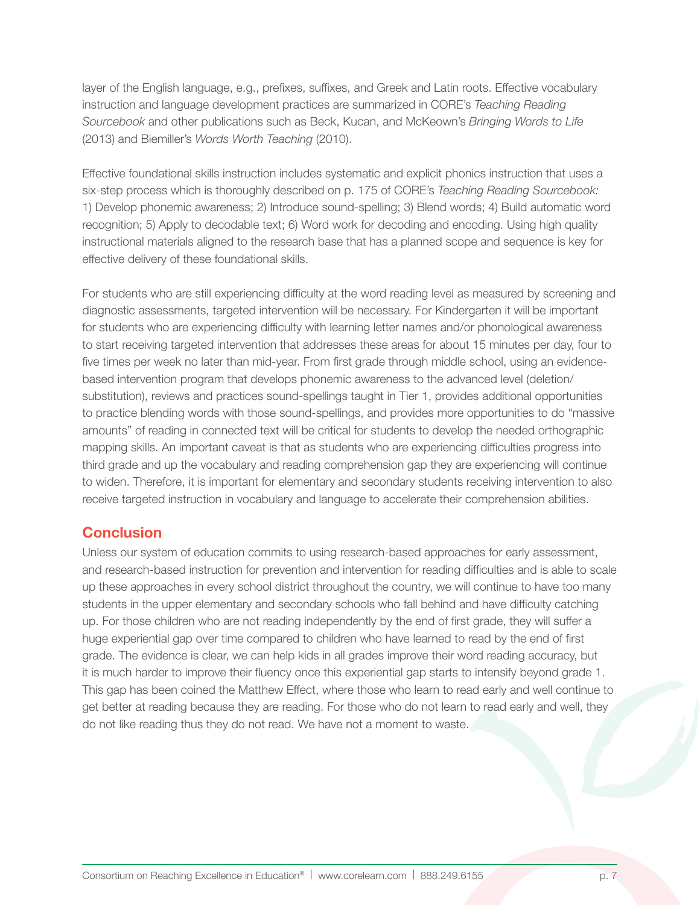layer of the English language, e.g., prefixes, suffixes, and Greek and Latin roots. Effective vocabulary instruction and language development practices are summarized in CORE's *Teaching Reading Sourcebook* and other publications such as Beck, Kucan, and McKeown's *Bringing Words to Life* (2013) and Biemiller's *Words Worth Teaching* (2010).

Effective foundational skills instruction includes systematic and explicit phonics instruction that uses a six-step process which is thoroughly described on p. 175 of CORE's *Teaching Reading Sourcebook:*  1) Develop phonemic awareness; 2) Introduce sound-spelling; 3) Blend words; 4) Build automatic word recognition; 5) Apply to decodable text; 6) Word work for decoding and encoding. Using high quality instructional materials aligned to the research base that has a planned scope and sequence is key for effective delivery of these foundational skills.

For students who are still experiencing difficulty at the word reading level as measured by screening and diagnostic assessments, targeted intervention will be necessary. For Kindergarten it will be important for students who are experiencing difficulty with learning letter names and/or phonological awareness to start receiving targeted intervention that addresses these areas for about 15 minutes per day, four to five times per week no later than mid-year. From first grade through middle school, using an evidencebased intervention program that develops phonemic awareness to the advanced level (deletion/ substitution), reviews and practices sound-spellings taught in Tier 1, provides additional opportunities to practice blending words with those sound-spellings, and provides more opportunities to do "massive amounts" of reading in connected text will be critical for students to develop the needed orthographic mapping skills. An important caveat is that as students who are experiencing difficulties progress into third grade and up the vocabulary and reading comprehension gap they are experiencing will continue to widen. Therefore, it is important for elementary and secondary students receiving intervention to also receive targeted instruction in vocabulary and language to accelerate their comprehension abilities.

### **Conclusion**

Unless our system of education commits to using research-based approaches for early assessment, and research-based instruction for prevention and intervention for reading difficulties and is able to scale up these approaches in every school district throughout the country, we will continue to have too many students in the upper elementary and secondary schools who fall behind and have difficulty catching up. For those children who are not reading independently by the end of first grade, they will suffer a huge experiential gap over time compared to children who have learned to read by the end of first grade. The evidence is clear, we can help kids in all grades improve their word reading accuracy, but it is much harder to improve their fluency once this experiential gap starts to intensify beyond grade 1. This gap has been coined the Matthew Effect, where those who learn to read early and well continue to get better at reading because they are reading. For those who do not learn to read early and well, they do not like reading thus they do not read. We have not a moment to waste.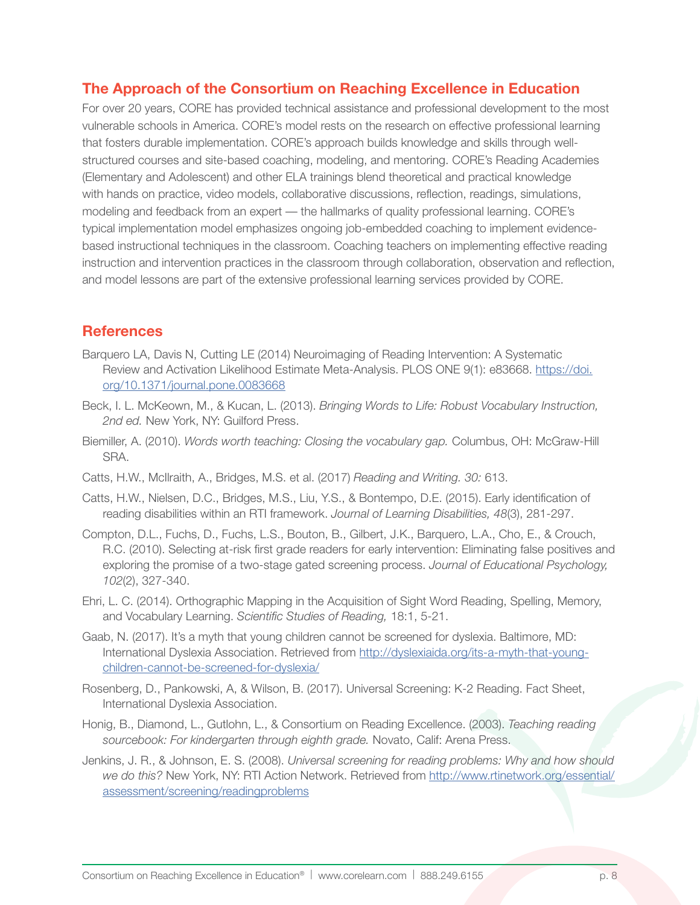### **The Approach of the Consortium on Reaching Excellence in Education**

For over 20 years, CORE has provided technical assistance and professional development to the most vulnerable schools in America. CORE's model rests on the research on effective professional learning that fosters durable implementation. CORE's approach builds knowledge and skills through wellstructured courses and site-based coaching, modeling, and mentoring. CORE's Reading Academies (Elementary and Adolescent) and other ELA trainings blend theoretical and practical knowledge with hands on practice, video models, collaborative discussions, reflection, readings, simulations, modeling and feedback from an expert — the hallmarks of quality professional learning. CORE's typical implementation model emphasizes ongoing job-embedded coaching to implement evidencebased instructional techniques in the classroom. Coaching teachers on implementing effective reading instruction and intervention practices in the classroom through collaboration, observation and reflection, and model lessons are part of the extensive professional learning services provided by CORE.

### **References**

- Barquero LA, Davis N, Cutting LE (2014) Neuroimaging of Reading Intervention: A Systematic Review and Activation Likelihood Estimate Meta-Analysis. PLOS ONE 9(1): e83668. [https://doi.](https://doi.org/10.1371/journal.pone.0083668) [org/10.1371/journal.pone.0083668](https://doi.org/10.1371/journal.pone.0083668)
- Beck, I. L. McKeown, M., & Kucan, L. (2013). *Bringing Words to Life: Robust Vocabulary Instruction, 2nd ed.* New York, NY: Guilford Press.
- Biemiller, A. (2010). *Words worth teaching: Closing the vocabulary gap.* Columbus, OH: McGraw-Hill SRA.
- Catts, H.W., McIlraith, A., Bridges, M.S. et al. (2017) *Reading and Writing. 30:* 613.
- Catts, H.W., Nielsen, D.C., Bridges, M.S., Liu, Y.S., & Bontempo, D.E. (2015). Early identification of reading disabilities within an RTI framework. *Journal of Learning Disabilities, 48*(3), 281-297.
- Compton, D.L., Fuchs, D., Fuchs, L.S., Bouton, B., Gilbert, J.K., Barquero, L.A., Cho, E., & Crouch, R.C. (2010). Selecting at-risk first grade readers for early intervention: Eliminating false positives and exploring the promise of a two-stage gated screening process. *Journal of Educational Psychology, 102*(2), 327-340.
- Ehri, L. C. (2014). Orthographic Mapping in the Acquisition of Sight Word Reading, Spelling, Memory, and Vocabulary Learning. *Scientific Studies of Reading,* 18:1, 5-21.
- Gaab, N. (2017). It's a myth that young children cannot be screened for dyslexia. Baltimore, MD: International Dyslexia Association. Retrieved from [http://dyslexiaida.org/its-a-myth-that-young](http://dyslexiaida.org/its-a-myth-that-young-children-cannot-be-screened-for-dyslexia/)[children-cannot-be-screened-for-dyslexia/](http://dyslexiaida.org/its-a-myth-that-young-children-cannot-be-screened-for-dyslexia/)
- Rosenberg, D., Pankowski, A, & Wilson, B. (2017). Universal Screening: K-2 Reading. Fact Sheet, International Dyslexia Association.
- Honig, B., Diamond, L., Gutlohn, L., & Consortium on Reading Excellence. (2003). *Teaching reading sourcebook: For kindergarten through eighth grade.* Novato, Calif: Arena Press.
- Jenkins, J. R., & Johnson, E. S. (2008). *Universal screening for reading problems: Why and how should we do this?* New York, NY: RTI Action Network. Retrieved from [http://www.rtinetwork.org/essential/](http://www.rtinetwork.org/essential/assessment/screening/readingproblems) [assessment/screening/readingproblems](http://www.rtinetwork.org/essential/assessment/screening/readingproblems)